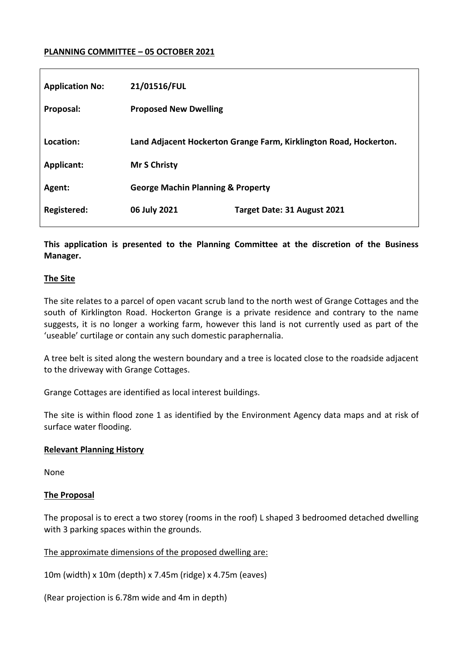# **PLANNING COMMITTEE – 05 OCTOBER 2021**

| <b>Application No:</b> | 21/01516/FUL                                                      |                             |
|------------------------|-------------------------------------------------------------------|-----------------------------|
| Proposal:              | <b>Proposed New Dwelling</b>                                      |                             |
| Location:              | Land Adjacent Hockerton Grange Farm, Kirklington Road, Hockerton. |                             |
| Applicant:             | <b>Mr S Christy</b>                                               |                             |
| Agent:                 | <b>George Machin Planning &amp; Property</b>                      |                             |
| Registered:            | 06 July 2021                                                      | Target Date: 31 August 2021 |

**This application is presented to the Planning Committee at the discretion of the Business Manager.** 

#### **The Site**

The site relates to a parcel of open vacant scrub land to the north west of Grange Cottages and the south of Kirklington Road. Hockerton Grange is a private residence and contrary to the name suggests, it is no longer a working farm, however this land is not currently used as part of the 'useable' curtilage or contain any such domestic paraphernalia.

A tree belt is sited along the western boundary and a tree is located close to the roadside adjacent to the driveway with Grange Cottages.

Grange Cottages are identified as local interest buildings.

The site is within flood zone 1 as identified by the Environment Agency data maps and at risk of surface water flooding.

### **Relevant Planning History**

None

### **The Proposal**

The proposal is to erect a two storey (rooms in the roof) L shaped 3 bedroomed detached dwelling with 3 parking spaces within the grounds.

The approximate dimensions of the proposed dwelling are:

10m (width) x 10m (depth) x 7.45m (ridge) x 4.75m (eaves)

(Rear projection is 6.78m wide and 4m in depth)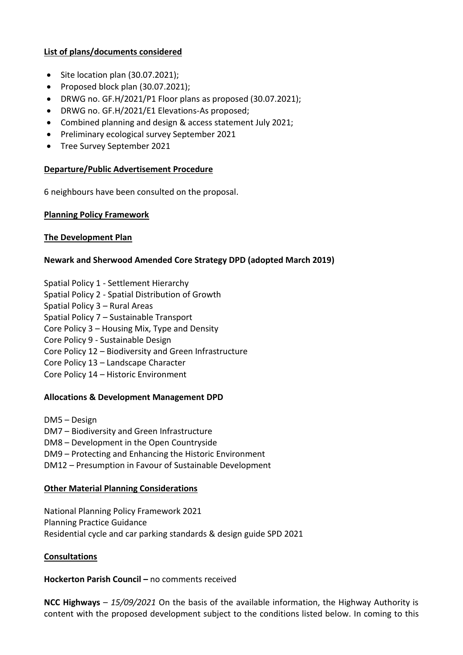### **List of plans/documents considered**

- $\bullet$  Site location plan (30.07.2021);
- Proposed block plan  $(30.07.2021)$ ;
- DRWG no. GF.H/2021/P1 Floor plans as proposed (30.07.2021);
- DRWG no. GF.H/2021/E1 Elevations-As proposed;
- Combined planning and design & access statement July 2021;
- Preliminary ecological survey September 2021
- Tree Survey September 2021

# **Departure/Public Advertisement Procedure**

6 neighbours have been consulted on the proposal.

# **Planning Policy Framework**

# **The Development Plan**

# **Newark and Sherwood Amended Core Strategy DPD (adopted March 2019)**

- Spatial Policy 1 Settlement Hierarchy
- Spatial Policy 2 Spatial Distribution of Growth
- Spatial Policy 3 Rural Areas
- Spatial Policy 7 Sustainable Transport
- Core Policy 3 Housing Mix, Type and Density
- Core Policy 9 Sustainable Design
- Core Policy 12 Biodiversity and Green Infrastructure
- Core Policy 13 Landscape Character
- Core Policy 14 Historic Environment

# **Allocations & Development Management DPD**

DM5 – Design DM7 – Biodiversity and Green Infrastructure DM8 – Development in the Open Countryside DM9 – Protecting and Enhancing the Historic Environment DM12 – Presumption in Favour of Sustainable Development

# **Other Material Planning Considerations**

National Planning Policy Framework 2021 Planning Practice Guidance Residential cycle and car parking standards & design guide SPD 2021

### **Consultations**

### **Hockerton Parish Council –** no comments received

**NCC Highways** – *15/09/2021* On the basis of the available information, the Highway Authority is content with the proposed development subject to the conditions listed below. In coming to this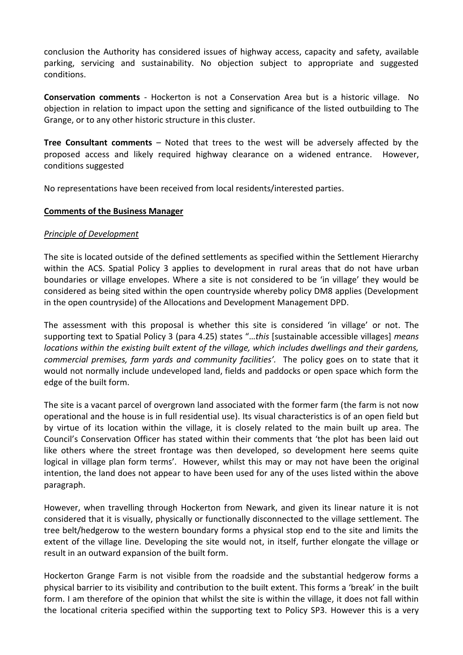conclusion the Authority has considered issues of highway access, capacity and safety, available parking, servicing and sustainability. No objection subject to appropriate and suggested conditions.

**Conservation comments** - Hockerton is not a Conservation Area but is a historic village. No objection in relation to impact upon the setting and significance of the listed outbuilding to The Grange, or to any other historic structure in this cluster.

**Tree Consultant comments** – Noted that trees to the west will be adversely affected by the proposed access and likely required highway clearance on a widened entrance. However, conditions suggested

No representations have been received from local residents/interested parties.

# **Comments of the Business Manager**

# *Principle of Development*

The site is located outside of the defined settlements as specified within the Settlement Hierarchy within the ACS. Spatial Policy 3 applies to development in rural areas that do not have urban boundaries or village envelopes. Where a site is not considered to be 'in village' they would be considered as being sited within the open countryside whereby policy DM8 applies (Development in the open countryside) of the Allocations and Development Management DPD.

The assessment with this proposal is whether this site is considered 'in village' or not. The supporting text to Spatial Policy 3 (para 4.25) states "…*this* [sustainable accessible villages] *means locations within the existing built extent of the village, which includes dwellings and their gardens, commercial premises, farm yards and community facilities'.* The policy goes on to state that it would not normally include undeveloped land, fields and paddocks or open space which form the edge of the built form.

The site is a vacant parcel of overgrown land associated with the former farm (the farm is not now operational and the house is in full residential use). Its visual characteristics is of an open field but by virtue of its location within the village, it is closely related to the main built up area. The Council's Conservation Officer has stated within their comments that 'the plot has been laid out like others where the street frontage was then developed, so development here seems quite logical in village plan form terms'. However, whilst this may or may not have been the original intention, the land does not appear to have been used for any of the uses listed within the above paragraph.

However, when travelling through Hockerton from Newark, and given its linear nature it is not considered that it is visually, physically or functionally disconnected to the village settlement. The tree belt/hedgerow to the western boundary forms a physical stop end to the site and limits the extent of the village line. Developing the site would not, in itself, further elongate the village or result in an outward expansion of the built form.

Hockerton Grange Farm is not visible from the roadside and the substantial hedgerow forms a physical barrier to its visibility and contribution to the built extent. This forms a 'break' in the built form. I am therefore of the opinion that whilst the site is within the village, it does not fall within the locational criteria specified within the supporting text to Policy SP3. However this is a very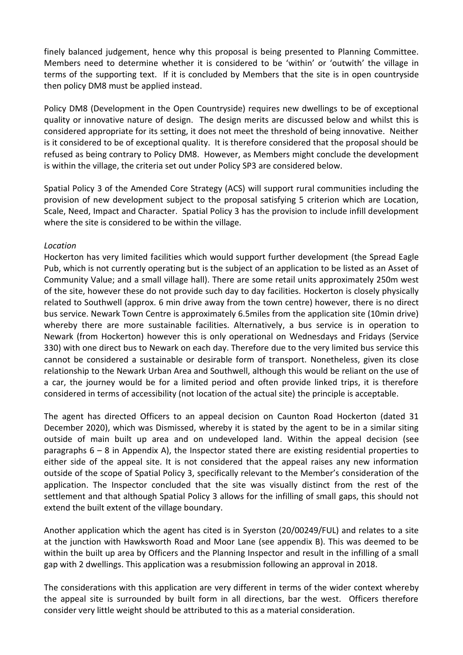finely balanced judgement, hence why this proposal is being presented to Planning Committee. Members need to determine whether it is considered to be 'within' or 'outwith' the village in terms of the supporting text. If it is concluded by Members that the site is in open countryside then policy DM8 must be applied instead.

Policy DM8 (Development in the Open Countryside) requires new dwellings to be of exceptional quality or innovative nature of design. The design merits are discussed below and whilst this is considered appropriate for its setting, it does not meet the threshold of being innovative. Neither is it considered to be of exceptional quality. It is therefore considered that the proposal should be refused as being contrary to Policy DM8. However, as Members might conclude the development is within the village, the criteria set out under Policy SP3 are considered below.

Spatial Policy 3 of the Amended Core Strategy (ACS) will support rural communities including the provision of new development subject to the proposal satisfying 5 criterion which are Location, Scale, Need, Impact and Character. Spatial Policy 3 has the provision to include infill development where the site is considered to be within the village.

# *Location*

Hockerton has very limited facilities which would support further development (the Spread Eagle Pub, which is not currently operating but is the subject of an application to be listed as an Asset of Community Value; and a small village hall). There are some retail units approximately 250m west of the site, however these do not provide such day to day facilities. Hockerton is closely physically related to Southwell (approx. 6 min drive away from the town centre) however, there is no direct bus service. Newark Town Centre is approximately 6.5miles from the application site (10min drive) whereby there are more sustainable facilities. Alternatively, a bus service is in operation to Newark (from Hockerton) however this is only operational on Wednesdays and Fridays (Service 330) with one direct bus to Newark on each day. Therefore due to the very limited bus service this cannot be considered a sustainable or desirable form of transport. Nonetheless, given its close relationship to the Newark Urban Area and Southwell, although this would be reliant on the use of a car, the journey would be for a limited period and often provide linked trips, it is therefore considered in terms of accessibility (not location of the actual site) the principle is acceptable.

The agent has directed Officers to an appeal decision on Caunton Road Hockerton (dated 31 December 2020), which was Dismissed, whereby it is stated by the agent to be in a similar siting outside of main built up area and on undeveloped land. Within the appeal decision (see paragraphs  $6 - 8$  in Appendix A), the Inspector stated there are existing residential properties to either side of the appeal site. It is not considered that the appeal raises any new information outside of the scope of Spatial Policy 3, specifically relevant to the Member's consideration of the application. The Inspector concluded that the site was visually distinct from the rest of the settlement and that although Spatial Policy 3 allows for the infilling of small gaps, this should not extend the built extent of the village boundary.

Another application which the agent has cited is in Syerston (20/00249/FUL) and relates to a site at the junction with Hawksworth Road and Moor Lane (see appendix B). This was deemed to be within the built up area by Officers and the Planning Inspector and result in the infilling of a small gap with 2 dwellings. This application was a resubmission following an approval in 2018.

The considerations with this application are very different in terms of the wider context whereby the appeal site is surrounded by built form in all directions, bar the west. Officers therefore consider very little weight should be attributed to this as a material consideration.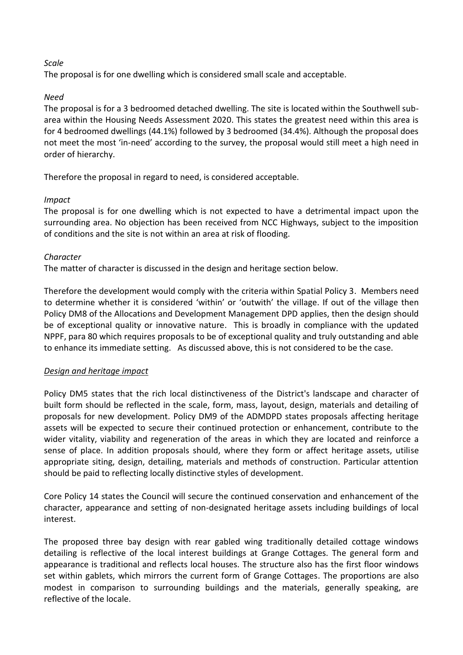# *Scale*

The proposal is for one dwelling which is considered small scale and acceptable.

# *Need*

The proposal is for a 3 bedroomed detached dwelling. The site is located within the Southwell subarea within the Housing Needs Assessment 2020. This states the greatest need within this area is for 4 bedroomed dwellings (44.1%) followed by 3 bedroomed (34.4%). Although the proposal does not meet the most 'in-need' according to the survey, the proposal would still meet a high need in order of hierarchy.

Therefore the proposal in regard to need, is considered acceptable.

# *Impact*

The proposal is for one dwelling which is not expected to have a detrimental impact upon the surrounding area. No objection has been received from NCC Highways, subject to the imposition of conditions and the site is not within an area at risk of flooding.

# *Character*

The matter of character is discussed in the design and heritage section below.

Therefore the development would comply with the criteria within Spatial Policy 3. Members need to determine whether it is considered 'within' or 'outwith' the village. If out of the village then Policy DM8 of the Allocations and Development Management DPD applies, then the design should be of exceptional quality or innovative nature. This is broadly in compliance with the updated NPPF, para 80 which requires proposals to be of exceptional quality and truly outstanding and able to enhance its immediate setting. As discussed above, this is not considered to be the case.

# *Design and heritage impact*

Policy DM5 states that the rich local distinctiveness of the District's landscape and character of built form should be reflected in the scale, form, mass, layout, design, materials and detailing of proposals for new development. Policy DM9 of the ADMDPD states proposals affecting heritage assets will be expected to secure their continued protection or enhancement, contribute to the wider vitality, viability and regeneration of the areas in which they are located and reinforce a sense of place. In addition proposals should, where they form or affect heritage assets, utilise appropriate siting, design, detailing, materials and methods of construction. Particular attention should be paid to reflecting locally distinctive styles of development.

Core Policy 14 states the Council will secure the continued conservation and enhancement of the character, appearance and setting of non-designated heritage assets including buildings of local interest.

The proposed three bay design with rear gabled wing traditionally detailed cottage windows detailing is reflective of the local interest buildings at Grange Cottages. The general form and appearance is traditional and reflects local houses. The structure also has the first floor windows set within gablets, which mirrors the current form of Grange Cottages. The proportions are also modest in comparison to surrounding buildings and the materials, generally speaking, are reflective of the locale.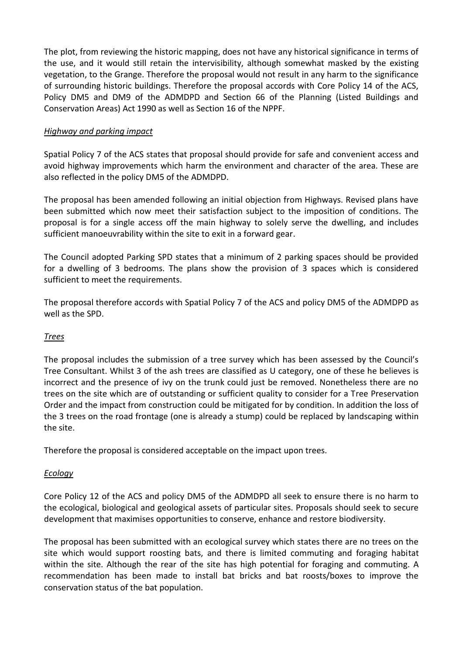The plot, from reviewing the historic mapping, does not have any historical significance in terms of the use, and it would still retain the intervisibility, although somewhat masked by the existing vegetation, to the Grange. Therefore the proposal would not result in any harm to the significance of surrounding historic buildings. Therefore the proposal accords with Core Policy 14 of the ACS, Policy DM5 and DM9 of the ADMDPD and Section 66 of the Planning (Listed Buildings and Conservation Areas) Act 1990 as well as Section 16 of the NPPF.

# *Highway and parking impact*

Spatial Policy 7 of the ACS states that proposal should provide for safe and convenient access and avoid highway improvements which harm the environment and character of the area. These are also reflected in the policy DM5 of the ADMDPD.

The proposal has been amended following an initial objection from Highways. Revised plans have been submitted which now meet their satisfaction subject to the imposition of conditions. The proposal is for a single access off the main highway to solely serve the dwelling, and includes sufficient manoeuvrability within the site to exit in a forward gear.

The Council adopted Parking SPD states that a minimum of 2 parking spaces should be provided for a dwelling of 3 bedrooms. The plans show the provision of 3 spaces which is considered sufficient to meet the requirements.

The proposal therefore accords with Spatial Policy 7 of the ACS and policy DM5 of the ADMDPD as well as the SPD.

### *Trees*

The proposal includes the submission of a tree survey which has been assessed by the Council's Tree Consultant. Whilst 3 of the ash trees are classified as U category, one of these he believes is incorrect and the presence of ivy on the trunk could just be removed. Nonetheless there are no trees on the site which are of outstanding or sufficient quality to consider for a Tree Preservation Order and the impact from construction could be mitigated for by condition. In addition the loss of the 3 trees on the road frontage (one is already a stump) could be replaced by landscaping within the site.

Therefore the proposal is considered acceptable on the impact upon trees.

### *Ecology*

Core Policy 12 of the ACS and policy DM5 of the ADMDPD all seek to ensure there is no harm to the ecological, biological and geological assets of particular sites. Proposals should seek to secure development that maximises opportunities to conserve, enhance and restore biodiversity.

The proposal has been submitted with an ecological survey which states there are no trees on the site which would support roosting bats, and there is limited commuting and foraging habitat within the site. Although the rear of the site has high potential for foraging and commuting. A recommendation has been made to install bat bricks and bat roosts/boxes to improve the conservation status of the bat population.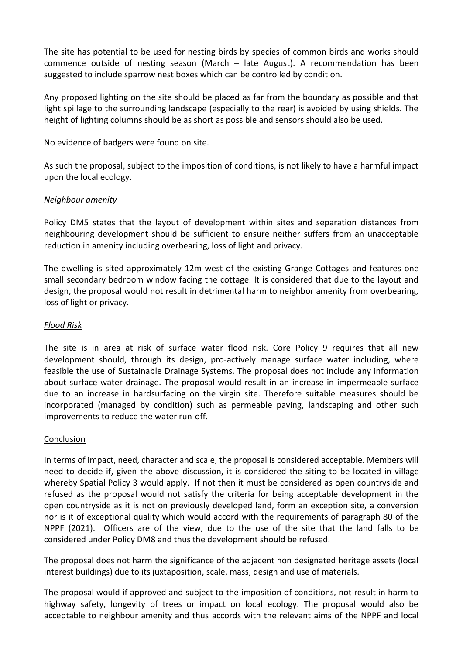The site has potential to be used for nesting birds by species of common birds and works should commence outside of nesting season (March – late August). A recommendation has been suggested to include sparrow nest boxes which can be controlled by condition.

Any proposed lighting on the site should be placed as far from the boundary as possible and that light spillage to the surrounding landscape (especially to the rear) is avoided by using shields. The height of lighting columns should be as short as possible and sensors should also be used.

No evidence of badgers were found on site.

As such the proposal, subject to the imposition of conditions, is not likely to have a harmful impact upon the local ecology.

# *Neighbour amenity*

Policy DM5 states that the layout of development within sites and separation distances from neighbouring development should be sufficient to ensure neither suffers from an unacceptable reduction in amenity including overbearing, loss of light and privacy.

The dwelling is sited approximately 12m west of the existing Grange Cottages and features one small secondary bedroom window facing the cottage. It is considered that due to the layout and design, the proposal would not result in detrimental harm to neighbor amenity from overbearing, loss of light or privacy.

### *Flood Risk*

The site is in area at risk of surface water flood risk. Core Policy 9 requires that all new development should, through its design, pro-actively manage surface water including, where feasible the use of Sustainable Drainage Systems. The proposal does not include any information about surface water drainage. The proposal would result in an increase in impermeable surface due to an increase in hardsurfacing on the virgin site. Therefore suitable measures should be incorporated (managed by condition) such as permeable paving, landscaping and other such improvements to reduce the water run-off.

### Conclusion

In terms of impact, need, character and scale, the proposal is considered acceptable. Members will need to decide if, given the above discussion, it is considered the siting to be located in village whereby Spatial Policy 3 would apply. If not then it must be considered as open countryside and refused as the proposal would not satisfy the criteria for being acceptable development in the open countryside as it is not on previously developed land, form an exception site, a conversion nor is it of exceptional quality which would accord with the requirements of paragraph 80 of the NPPF (2021). Officers are of the view, due to the use of the site that the land falls to be considered under Policy DM8 and thus the development should be refused.

The proposal does not harm the significance of the adjacent non designated heritage assets (local interest buildings) due to its juxtaposition, scale, mass, design and use of materials.

The proposal would if approved and subject to the imposition of conditions, not result in harm to highway safety, longevity of trees or impact on local ecology. The proposal would also be acceptable to neighbour amenity and thus accords with the relevant aims of the NPPF and local